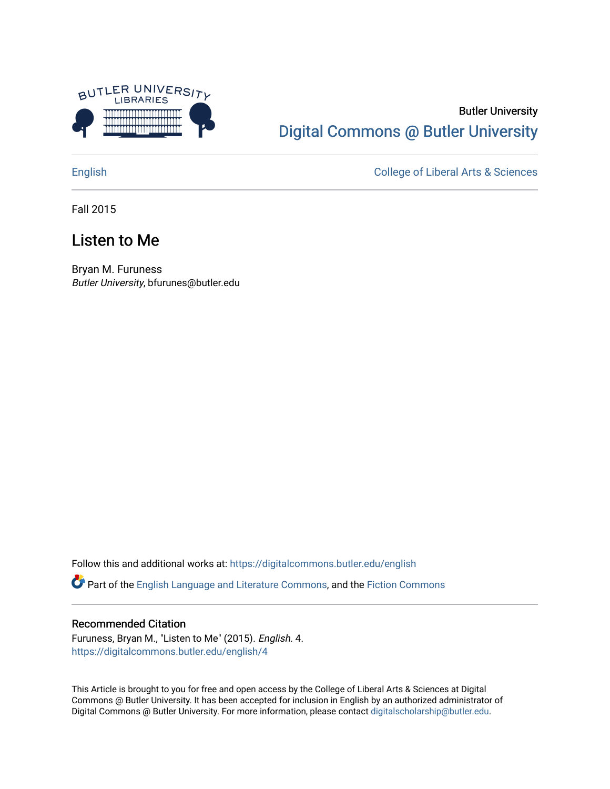

### Butler University [Digital Commons @ Butler University](https://digitalcommons.butler.edu/)

[English](https://digitalcommons.butler.edu/english) [College of Liberal Arts & Sciences](https://digitalcommons.butler.edu/las) 

Fall 2015

### Listen to Me

Bryan M. Furuness Butler University, bfurunes@butler.edu

Follow this and additional works at: [https://digitalcommons.butler.edu/english](https://digitalcommons.butler.edu/english?utm_source=digitalcommons.butler.edu%2Fenglish%2F4&utm_medium=PDF&utm_campaign=PDFCoverPages) 

Part of the [English Language and Literature Commons](http://network.bepress.com/hgg/discipline/455?utm_source=digitalcommons.butler.edu%2Fenglish%2F4&utm_medium=PDF&utm_campaign=PDFCoverPages), and the [Fiction Commons](http://network.bepress.com/hgg/discipline/1151?utm_source=digitalcommons.butler.edu%2Fenglish%2F4&utm_medium=PDF&utm_campaign=PDFCoverPages)

#### Recommended Citation

Furuness, Bryan M., "Listen to Me" (2015). English. 4. [https://digitalcommons.butler.edu/english/4](https://digitalcommons.butler.edu/english/4?utm_source=digitalcommons.butler.edu%2Fenglish%2F4&utm_medium=PDF&utm_campaign=PDFCoverPages) 

This Article is brought to you for free and open access by the College of Liberal Arts & Sciences at Digital Commons @ Butler University. It has been accepted for inclusion in English by an authorized administrator of Digital Commons @ Butler University. For more information, please contact [digitalscholarship@butler.edu.](mailto:digitalscholarship@butler.edu)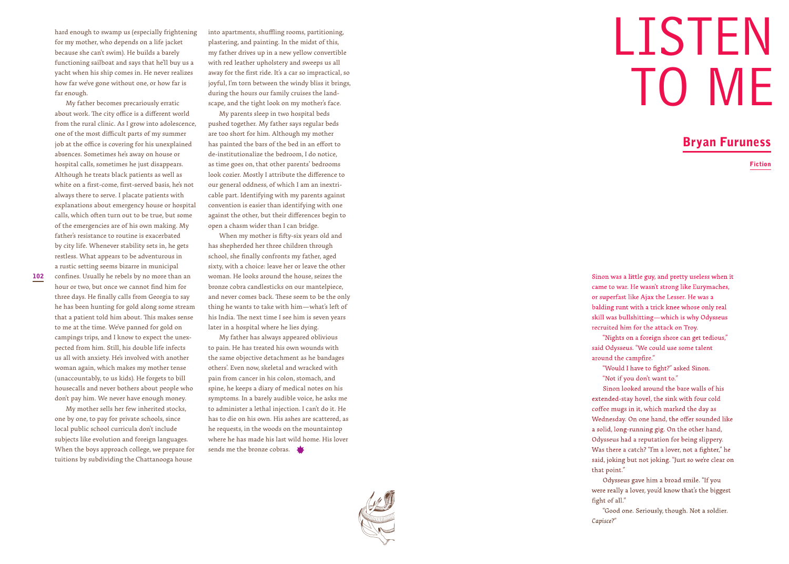hard enough to swamp us (especially frightening for my mother, who depends on a life jacket because she can't swim). He builds a barely functioning sailboat and says that he'll buy us a yacht when his ship comes in. He never realizes how far we've gone without one, or how far is far enough.

My father becomes precariously erratic about work. The city office is a different world from the rural clinic. As I grow into adolescence, one of the most difficult parts of my summer job at the office is covering for his unexplained absences. Sometimes he's away on house or hospital calls, sometimes he just disappears. Although he treats black patients as well as white on a first-come, first-served basis, he's not always there to serve. I placate patients with explanations about emergency house or hospital calls, which often turn out to be true, but some of the emergencies are of his own making. My father's resistance to routine is exacerbated by city life. Whenever stability sets in, he gets restless. What appears to be adventurous in a rustic setting seems bizarre in municipal

confines. Usually he rebels by no more than an hour or two, but once we cannot find him for three days. He finally calls from Georgia to say he has been hunting for gold along some stream that a patient told him about. This makes sense to me at the time. We've panned for gold on campings trips, and I know to expect the unex pected from him. Still, his double life infects us all with anxiety. He's involved with another woman again, which makes my mother tense (unaccountably, to us kids). He forgets to bill housecalls and never bothers about people who don't pay him. We never have enough money.

My mother sells her few inherited stocks, one by one, to pay for private schools, since local public school curricula don't include subjects like evolution and foreign languages. When the boys approach college, we prepare for tuitions by subdividing the Chattanooga house

into apartments, shuffling rooms, partitioning, plastering, and painting. In the midst of this, my father drives up in a new yellow convertible with red leather upholstery and sweeps us all away for the first ride. It's a car so impractical, so joyful, I'm torn between the windy bliss it brings, during the hours our family cruises the land scape, and the tight look on my mother's face.

My parents sleep in two hospital beds pushed together. My father says regular beds are too short for him. Although my mother has painted the bars of the bed in an effort to de-institutionalize the bedroom, I do notice, as time goes on, that other parents' bedrooms look cozier. Mostly I attribute the difference to our general oddness, of which I am an inextri cable part. Identifying with my parents against convention is easier than identifying with one against the other, but their differences begin to open a chasm wider than I can bridge.

When my mother is fifty-six years old and has shepherded her three children through school, she finally confronts my father, aged sixty, with a choice: leave her or leave the other woman. He looks around the house, seizes the bronze cobra candlesticks on our mantelpiece, and never comes back. These seem to be the only thing he wants to take with him—what's left of his India. The next time I see him is seven years later in a hospital where he lies dying.

My father has always appeared oblivious to pain. He has treated his own wounds with the same objective detachment as he bandages others'. Even now, skeletal and wracked with pain from cancer in his colon, stomach, and spine, he keeps a diary of medical notes on his symptoms. In a barely audible voice, he asks me to administer a lethal injection. I can't do it. He has to die on his own. His ashes are scattered, as he requests, in the woods on the mountaintop where he has made his last wild home. His lover sends me the bronze cobras.



## LISTEN TO ME

### Bryan Furuness

Fiction

Sinon was a little guy, and pretty useless when it came to war. He wasn't strong like Eurymaches, or superfast like Ajax the Lesser. He was a balding runt with a trick knee whose only real skill was bullshitting—which is why Odysseus recruited him for the attack on Troy.

"Nights on a foreign shore can get tedious," said Odysseus. "We could use some talent around the campfire."

"Would I have to fight?" asked Sinon. "Not if you don't want to."

Sinon looked around the bare walls of his extended-stay hovel, the sink with four cold coffee mugs in it, which marked the day as Wednesday. On one hand, the offer sounded like a solid, long-running gig. On the other hand, Odysseus had a reputation for being slippery. Was there a catch? "I'm a lover, not a fighter," he said, joking but not joking. "Just so we're clear on that point."

Odysseus gave him a broad smile. "If you were really a lover, you'd know that's the biggest fight of all."

"Good one. Seriously, though. Not a soldier. *Capisce*?"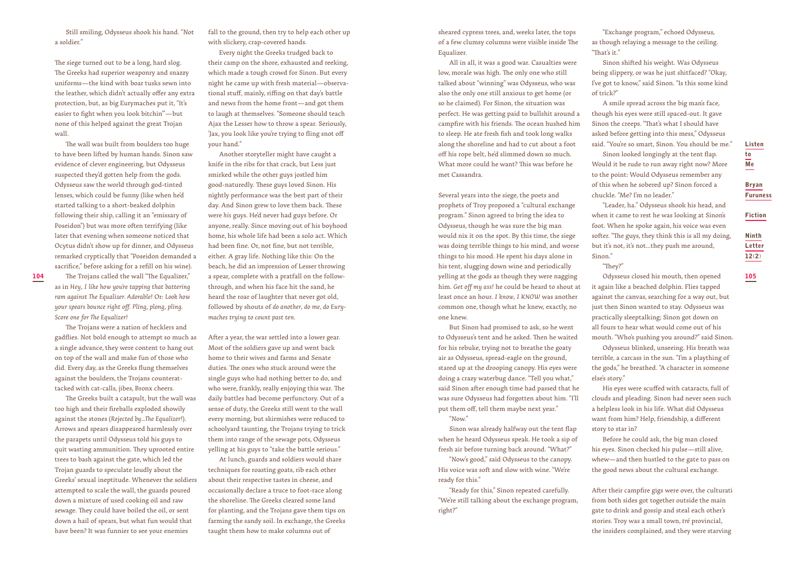Still smiling, Odysseus shook his hand. "Not a soldier."

The siege turned out to be a long, hard slog. The Greeks had superior weaponry and snazzy uniforms—the kind with boar tusks sewn into the leather, which didn't actually offer any extra protection, but, as big Eurymaches put it, "It's easier to fight when you look bitchin'"—but none of this helped against the great Trojan wall.

The wall was built from boulders too huge to have been lifted by human hands. Sinon saw evidence of clever engineering, but Odysseus suspected they'd gotten help from the gods. Odysseus saw the world through god-tinted lenses, which could be funny (like when he'd started talking to a short-beaked dolphin following their ship, calling it an "emissary of Poseidon") but was more often terrifying (like later that evening when someone noticed that Ocytus didn't show up for dinner, and Odysseus remarked cryptically that "Poseidon demanded a sacrifice," before asking for a refill on his wine).

The Trojans called the wall "The Equalizer," as in *Hey, I like how you're tapping that battering ram against The Equalizer. Adorable!* Or: *Look how your spears bounce right off. Pling, plong, pling. Score one for The Equalizer!* 

The Trojans were a nation of hecklers and gadflies. Not bold enough to attempt so much as a single advance, they were content to hang out on top of the wall and make fun of those who did. Every day, as the Greeks flung themselves against the boulders, the Trojans counterattacked with cat-calls, jibes, Bronx cheers.

The Greeks built a catapult, but the wall was too high and their fireballs exploded showily against the stones (*Rejected by...The Equalizer!*). Arrows and spears disappeared harmlessly over the parapets until Odysseus told his guys to quit wasting ammunition. They uprooted entire trees to bash against the gate, which led the Trojan guards to speculate loudly about the Greeks' sexual ineptitude. Whenever the soldiers attempted to scale the wall, the guards poured down a mixture of used cooking oil and raw sewage. They could have boiled the oil, or sent down a hail of spears, but what fun would that have been? It was funnier to see your enemies

fall to the ground, then try to help each other up with slickery, crap-covered hands.

Every night the Greeks trudged back to their camp on the shore, exhausted and reeking, which made a tough crowd for Sinon. But every night he came up with fresh material—observational stuff, mainly, riffing on that day's battle and news from the home front—and got them to laugh at themselves. "Someone should teach Ajax the Lesser how to throw a spear. Seriously, 'Jax, you look like you're trying to fling snot off your hand."

Another storyteller might have caught a knife in the ribs for that crack, but Less just smirked while the other guys jostled him good-naturedly. These guys loved Sinon. His nightly performance was the best part of their day. And Sinon grew to love them back. These were *his* guys. He'd never had guys before. Or anyone, really. Since moving out of his boyhood home, his whole life had been a solo act. Which had been fine. Or, not fine, but not terrible, either. A gray life. Nothing like this: On the beach, he did an impression of Lesser throwing a spear, complete with a pratfall on the followthrough, and when his face hit the sand, he heard the roar of laughter that never got old, followed by shouts of *do another, do me, do Eurymaches trying to count past ten.* 

After a year, the war settled into a lower gear. Most of the soldiers gave up and went back home to their wives and farms and Senate duties. The ones who stuck around were the single guys who had nothing better to do, and who were, frankly, really enjoying this war. The daily battles had become perfunctory. Out of a sense of duty, the Greeks still went to the wall every morning, but skirmishes were reduced to schoolyard taunting, the Trojans trying to trick them into range of the sewage pots, Odysseus yelling at his guys to "take the battle serious."

At lunch, guards and soldiers would share techniques for roasting goats, rib each other about their respective tastes in cheese, and occasionally declare a truce to foot-race along the shoreline. The Greeks cleared some land for planting, and the Trojans gave them tips on farming the sandy soil. In exchange, the Greeks taught them how to make columns out of

sheared cypress trees, and, weeks later, the tops of a few clumsy columns were visible inside The Equalizer.

All in all, it was a good war. Casualties were low, morale was high. The only one who still talked about "winning" was Odysseus, who was also the only one still anxious to get home (or so he claimed). For Sinon, the situation was perfect. He was getting paid to bullshit around a campfire with his friends. The ocean hushed him to sleep. He ate fresh fish and took long walks along the shoreline and had to cut about a foot off his rope belt, he'd slimmed down so much. What more could he want? This was before he met Cassandra.

104 The Trojans called the wall "The Equalizer," a spear, complete with a pratfall on the follow- whis arealy and the gods as though they were nagging Odysseus closed his mouth, then opened 105 and the gods as though they Several years into the siege, the poets and prophets of Troy proposed a "cultural exchange program." Sinon agreed to bring the idea to Odysseus, though he was sure the big man would nix it on the spot. By this time, the siege was doing terrible things to his mind, and worse things to his mood. He spent his days alone in his tent, slugging down wine and periodically him. *Get off my ass!* he could be heard to shout at least once an hour. *I know, I KNOW* was another common one, though what he knew, exactly, no one knew.

> But Sinon had promised to ask, so he went to Odysseus's tent and he asked. Then he waited for his rebuke, trying not to breathe the goaty air as Odysseus, spread-eagle on the ground, stared up at the drooping canopy. His eyes were doing a crazy waterbug dance. "Tell you what," said Sinon after enough time had passed that he was sure Odysseus had forgotten about him. "I'll put them off, tell them maybe next year." "Now."

> Sinon was already halfway out the tent flap when he heard Odysseus speak. He took a sip of fresh air before turning back around. "What?"

"Now's good," said Odysseus to the canopy. His voice was soft and slow with wine. "We're ready for this."

"Ready for this," Sinon repeated carefully. "We're still talking about the exchange program, right?"

"Exchange program," echoed Odysseus, as though relaying a message to the ceiling. "That's it."

Sinon shifted his weight. Was Odysseus being slippery, or was he just shitfaced? "Okay, I've got to know," said Sinon. "Is this some kind of trick?"

A smile spread across the big man's face, though his eyes were still spaced-out. It gave Sinon the creeps. "That's what I should have asked before getting into this mess," Odysseus said. "You're so smart, Sinon. You should be me."

Sinon looked longingly at the tent flap. Would it be rude to run away right now? More to the point: Would Odysseus remember any of this when he sobered up? Sinon forced a chuckle. "Me? I'm no leader."

"Leader, ha." Odysseus shook his head, and when it came to rest he was looking at Sinon's foot. When he spoke again, his voice was even softer. "The guys, they think this is all my doing, but it's not, it's not...they push me around, Sinon."

"They?"

Odysseus closed his mouth, then opened it again like a beached dolphin. Flies tapped against the canvas, searching for a way out, but just then Sinon wanted to stay. Odysseus was practically sleeptalking; Sinon got down on all fours to hear what would come out of his mouth. "Who's pushing you around?" said Sinon.

Odysseus blinked, unseeing. His breath was terrible, a carcass in the sun. "I'm a plaything of the gods," he breathed. "A character in someone else's story."

His eyes were scuffed with cataracts, full of clouds and pleading. Sinon had never seen such a helpless look in his life. What did Odysseus want from him? Help, friendship, a different story to star in?

Before he could ask, the big man closed his eyes. Sinon checked his pulse—still alive, whew—and then hustled to the gate to pass on the good news about the cultural exchange.

After their campfire gigs were over, the culturati from both sides got together outside the main gate to drink and gossip and steal each other's stories. Troy was a small town, *tré* provincial, the insiders complained, and they were starving

Listen to

12(2)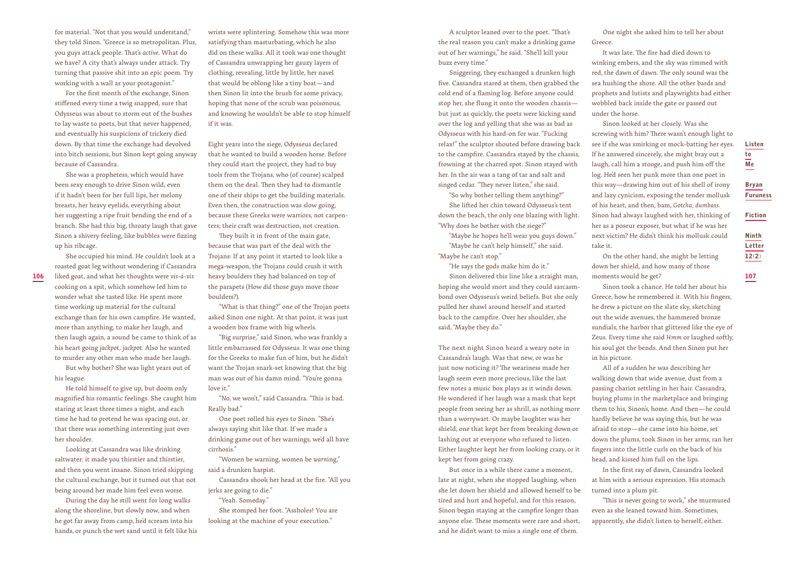for material. "Not that you would understand," they told Sinon. "Greece is so metropolitan. Plus, you guys attack people. That's *active.* What do we have? A city that's always under attack. Try turning that passive shit into an epic poem. Try working with a wall as your protagonist."

For the first month of the exchange, Sinon stiffened every time a twig snapped, sure that Odysseus was about to storm out of the bushes to lay waste to poets, but that never happened, and eventually his suspicions of trickery died down. By that time the exchange had devolved into bitch sessions, but Sinon kept going anyway because of Cassandra.

She was a prophetess, which would have been sexy enough to drive Sinon wild, even if it hadn't been for her full lips, her melony breasts, her heavy eyelids, everything about her suggesting a ripe fruit bending the end of a branch. She had this big, throaty laugh that gave Sinon a shivery feeling, like bubbles were fizzing up his ribcage.

She occupied his mind. He couldn't look at a

**106** liked goat, and what her thoughts were vis-á-vis heavy boulders they had balanced on top of sime a sinon delivered this line like a straight man, moments would he get? **107 107** roasted goat leg without wondering if Cassandra cooking on a spit, which somehow led him to wonder what she tasted like. He spent more time working up material for the cultural exchange than for his own campfire. He wanted, more than anything, to make her laugh, and then laugh again, a sound he came to think of as his heart going *jackpot, jackpot.* Also he wanted to murder any other man who made her laugh.

But why bother? She was light years out of his league.

He told himself to give up, but doom only magnified his romantic feelings. She caught him staring at least three times a night, and each time he had to pretend he was spacing out, or that there was something interesting just over her shoulder.

Looking at Cassandra was like drinking saltwater: it made you thirstier and thirstier, and then you went insane. Sinon tried skipping the cultural exchange, but it turned out that not being around her made him feel even worse.

During the day he still went for long walks along the shoreline, but slowly now, and when he got far away from camp, he'd scream into his hands, or punch the wet sand until it felt like his wrists were splintering. Somehow this was more satisfying than masturbating, which he also did on these walks. All it took was one thought of Cassandra unwrapping her gauzy layers of clothing, revealing, little by little, her navel that would be oblong like a tiny boat—and then Sinon lit into the brush for some privacy, hoping that none of the scrub was poisonous, and knowing he wouldn't be able to stop himself if it was.

Eight years into the siege, Odysseus declared that he wanted to build a wooden horse. Before they could start the project, they had to buy tools from the Trojans, who (of course) scalped them on the deal. Then they had to dismantle one of their ships to get the building materials. Even then, the construction was slow going, because these Greeks were warriors, not carpenters; their craft was destruction, not creation.

They built it in front of the main gate, because that was part of the deal with the Trojans: If at any point it started to look like a mega-weapon, the Trojans could crush it with heavy boulders they had balanced on top of the parapets (How *did* those guys move those boulders?).

"What is that thing?" one of the Trojan poets asked Sinon one night. At that point, it was just a wooden box frame with big wheels.

"Big surprise," said Sinon, who was frankly a little embarrassed for Odysseus. It was one thing for the Greeks to make fun of him, but he didn't want the Trojan snark-set knowing that the big man was out of his damn mind. "You're gonna love it."

"No, we won't," said Cassandra. "This is bad. Really bad."

One poet rolled his eyes to Sinon. "She's always saying shit like that. If we made a drinking game out of her warnings, we'd all have cirrhosis."

"Women be warning, women be *warn*ing," said a drunken harpist.

Cassandra shook her head at the fire. "All you jerks are going to die."

"Yeah. Someday."

She stomped her foot. "Assholes! You are looking at the machine of your execution."

A sculptor leaned over to the poet. "That's the real reason you can't make a drinking game out of her warnings," he said. "She'll kill your buzz every time."

Sniggering, they exchanged a drunken high five. Cassandra stared at them, then grabbed the cold end of a flaming log. Before anyone could stop her, she flung it onto the wooden chassis but just as quickly, the poets were kicking sand over the log and yelling that she was as bad as Odysseus with his hard-on for war. "Fucking relax!" the sculptor shouted before drawing back to the campfire. Cassandra stayed by the chassis, frowning at the charred spot. Sinon stayed with her. In the air was a tang of tar and salt and singed cedar. "They never listen," she said.

"So why bother telling them anything?"

She lifted her chin toward Odysseus's tent down the beach, the only one blazing with light. "Why does he bother with the siege?"

"Maybe he hopes he'll wear you guys down." "Maybe he can't help himself," she said. "Maybe he can't stop."

"He says the gods make him do it."

Sinon delivered this line like a straight man, hoping she would snort and they could sarcasmbond over Odysseus's weird beliefs. But she only pulled her shawl around herself and started back to the campfire. Over her shoulder, she said, "Maybe they do."

The next night Sinon heard a weary note in Cassandra's laugh. Was that new, or was he just now noticing it? The weariness made her laugh seem even more precious, like the last few notes a music box plays as it winds down. He wondered if her laugh was a mask that kept people from seeing her as shrill, as nothing more than a worrywart. Or maybe laughter was her shield, one that kept her from breaking down or lashing out at everyone who refused to listen. Either laughter kept her from looking crazy, or it kept her from going crazy.

But once in a while there came a moment, late at night, when she stopped laughing, when she let down her shield and allowed herself to be tired and hurt and hopeful, and for this reason, Sinon began staying at the campfire longer than anyone else. These moments were rare and short, and he didn't want to miss a single one of them.

One night she asked him to tell her about Greece.

It was late. The fire had died down to winking embers, and the sky was rimmed with red, the dawn of dawn. The only sound was the sea hushing the shore. All the other bards and prophets and lutists and playwrights had either wobbled back inside the gate or passed out under the horse.

Sinon looked at her closely. Was she screwing with him? There wasn't enough light to see if she was smirking or mock-batting her eyes. If he answered sincerely, she might bray out a laugh, call him a stooge, and push him off the log. He'd seen her punk more than one poet in this way—drawing him out of his shell of irony and lazy cynicism, exposing the tender mollusk of his heart, and then, bam, *Gotcha, dumbass.* Sinon had always laughed with her, thinking of her as a poseur exposer, but what if he was her next victim? He didn't think his mollusk could take it.

On the other hand, she might be letting down her shield, and how many of those moments would he get?

Sinon took a chance. He told her about his Greece, how he remembered it. With his fingers, he drew a picture on the slate sky, sketching out the wide avenues, the hammered bronze sundials, the harbor that glittered like the eye of Zeus. Every time she said *Hmm* or laughed softly, his soul got the bends. And then Sinon put her in his picture.

All of a sudden he was describing *her* walking down that wide avenue, dust from a passing chariot settling in her hair. Cassandra, buying plums in the marketplace and bringing them to his, Sinon's, home. And then—he could hardly believe he was saying this, but he was afraid to stop—she came into his home, set down the plums, took Sinon in her arms, ran her fingers into the little curls on the back of his head, and kissed him full on the lips.

In the first ray of dawn, Cassandra looked at him with a serious expression. His stomach turned into a plum pit.

"This is never going to work," she murmured even as she leaned toward him. Sometimes, apparently, she didn't listen to herself, either.

Ninth

Fiction

Listen to Me

Bryan Furuness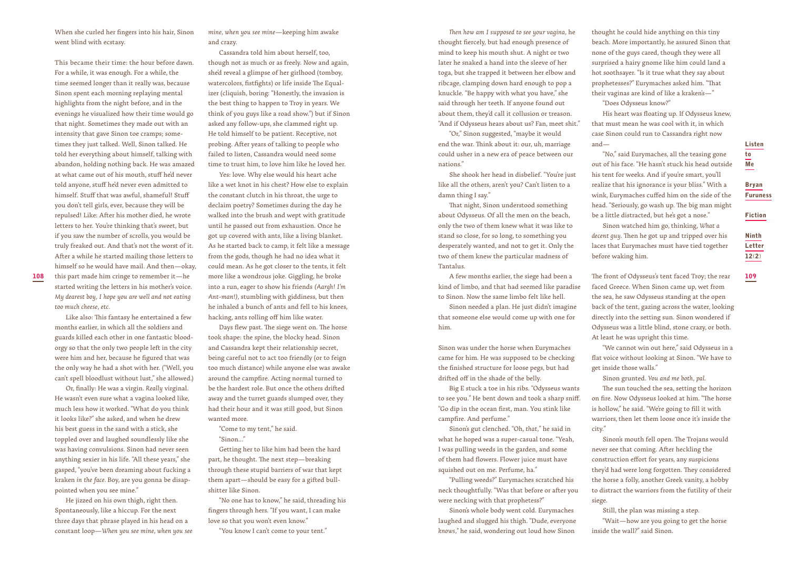When she curled her fingers into his hair, Sinon went blind with ecstasy.

This became their time: the hour before dawn. For a while, it was enough. For a while, the time seemed longer than it really was, because Sinon spent each morning replaying mental highlights from the night before, and in the evenings he visualized how their time would go that night. Sometimes they made out with an intensity that gave Sinon toe cramps; sometimes they just talked. Well, Sinon talked. He told her everything about himself, talking with abandon, holding nothing back. He was amazed at what came out of his mouth, stuff he'd never told anyone, stuff he'd never even admitted to himself. Stuff that was awful, shameful! Stuff you don't tell girls, ever, because they will be repulsed! Like: After his mother died, he wrote letters to her. You're thinking that's sweet, but if you saw the number of scrolls, you would be truly freaked out. And that's not the worst of it. After a while he started mailing those letters to himself so he would have mail. And then—okay,

this part made him cringe to remember it—he started writing the letters in his mother's voice. *My dearest boy, I hope you are well and not eating too much cheese, etc.*

Like also: This fantasy he entertained a few months earlier, in which all the soldiers and guards killed each other in one fantastic bloodorgy so that the only two people left in the city were him and her, because he figured that was the only way he had a shot with her. ("Well, you can't spell bloodlust without lust," she allowed.)

Or, finally: He was a virgin. *Really* virginal. He wasn't even sure what a vagina looked like, much less how it worked. "What do you think it looks like?" she asked, and when he drew his best guess in the sand with a stick, she toppled over and laughed soundlessly like she was having convulsions. Sinon had never seen anything sexier in his life. "All these years," she gasped, "you've been dreaming about fucking a kraken *in the face.* Boy, are you gonna be disappointed when you see mine."

He jizzed on his own thigh, right then. Spontaneously, like a hiccup. For the next three days that phrase played in his head on a constant loop—*When you see mine, when you see*  *mine, when you see mine*—keeping him awake and crazy.

Cassandra told him about herself, too, though not as much or as freely. Now and again, she'd reveal a glimpse of her girlhood (tomboy, watercolors, fistfights) or life inside The Equalizer (cliquish, boring: "Honestly, the invasion is the best thing to happen to Troy in years. We think of you guys like a road show.") but if Sinon asked any follow-ups, she clammed right up. He told himself to be patient. Receptive, not probing. After years of talking to people who failed to listen, Cassandra would need some time to trust him, to love him like he loved her.

Yes: love. Why else would his heart ache like a wet knot in his chest? How else to explain the constant clutch in his throat, the urge to declaim poetry? Sometimes during the day he walked into the brush and wept with gratitude until he passed out from exhaustion. Once he got up covered with ants, like a living blanket. As he started back to camp, it felt like a message from the gods, though he had no idea what it could mean. As he got closer to the tents, it felt more like a wondrous joke. Giggling, he broke into a run, eager to show his friends *(Aargh! I'm Ant-man!),* stumbling with giddiness, but then he inhaled a bunch of ants and fell to his knees, hacking, ants rolling off him like water.

Days flew past. The siege went on. The horse took shape: the spine, the blocky head. Sinon and Cassandra kept their relationship secret, being careful not to act too friendly (or to feign too much distance) while anyone else was awake around the campfire. Acting normal turned to be the hardest role. But once the others drifted away and the turret guards slumped over, they had their hour and it was still good, but Sinon wanted more.

"Come to my tent," he said. "Sinon..."

Getting her to like him had been the hard part, he thought. The next step—breaking through these stupid barriers of war that kept them apart—should be easy for a gifted bullshitter like Sinon.

"No one has to know," he said, threading his fingers through hers. "If you want, I can make love so that you won't even know."

"You know I can't come to your tent."

*Then how am I supposed to see your vagina,* he thought fiercely, but had enough presence of mind to keep his mouth shut. A night or two later he snaked a hand into the sleeve of her toga, but she trapped it between her elbow and ribcage, clamping down hard enough to pop a knuckle. "Be happy with what you have," she said through her teeth. If anyone found out about them, they'd call it collusion or treason. "And if Odysseus hears about us? Fan, meet shit."

"Or," Sinon suggested, "maybe it would end the war. Think about it: our, uh, marriage could usher in a new era of peace between our nations."

She shook her head in disbelief. "You're just like all the others, aren't you? Can't listen to a damn thing I say."

That night, Sinon understood something about Odysseus. Of all the men on the beach, only the two of them knew what it was like to stand so close, for so long, to something you desperately wanted, and not to get it. Only the two of them knew the particular madness of Tantalus.

A few months earlier, the siege had been a kind of limbo, and that had seemed like paradise to Sinon. Now the same limbo felt like hell.

Sinon needed a plan. He just didn't imagine that someone else would come up with one for him.

Sinon was under the horse when Eurymaches came for him. He was supposed to be checking the finished structure for loose pegs, but had drifted off in the shade of the belly.

Big E stuck a toe in his ribs. "Odysseus wants to see you." He bent down and took a sharp sniff. "Go dip in the ocean first, man. You stink like campfire. And perfume."

Sinon's gut clenched. "Oh, *that,*" he said in what he hoped was a super-casual tone. "Yeah, I was pulling weeds in the garden, and some of them had flowers. Flower juice must have squished out on me. Perfume, ha."

"Pulling weeds?" Eurymaches scratched his neck thoughtfully. "Was that before or after you were necking with that prophetess?"

Sinon's whole body went cold. Eurymaches laughed and slugged his thigh. "Dude, everyone *knows,"* he said, wondering out loud how Sinon

thought he could hide anything on this tiny beach. More importantly, he assured Sinon that none of the guys cared, though they were all surprised a hairy gnome like him could land a hot soothsayer. "Is it true what they say about prophetesses?" Eurymaches asked him. "That their vaginas are kind of like a kraken's—" "Does Odysseus know?"

His heart was floating up. If Odysseus knew, that must mean he was cool with it, in which case Sinon could run to Cassandra right now and—

"No," said Eurymaches, all the teasing gone out of his face. "He hasn't stuck his head outside his tent for weeks. And if you're smart, you'll realize that his ignorance is your bliss." With a wink, Eurymaches cuffed him on the side of the head. "Seriously, go wash up. The big man might be a little distracted, but he's got a nose."

Sinon watched him go, thinking, *What a decent guy.* Then he got up and tripped over his laces that Eurymaches must have tied together before waking him.

108 this part made him cringe to remember it—he more like a wondrous joke. Giggling, he broke and the from the sarlier, the siege had been a The front of Odysseus's tent faced Troy; the rear 109 (109) and the rear 109 (109 faced Greece. When Sinon came up, wet from the sea, he saw Odysseus standing at the open back of the tent, gazing across the water, looking directly into the setting sun. Sinon wondered if Odysseus was a little blind, stone crazy, or both. At least he was upright this time.

> "We cannot win out here," said Odysseus in a flat voice without looking at Sinon. "We have to get inside those walls."

Sinon grunted. *You and me both, pal.* 

The sun touched the sea, setting the horizon on fire. Now Odysseus looked at him. "The horse is hollow," he said. "We're going to fill it with warriors, then let them loose once it's inside the city."

Sinon's mouth fell open. The Trojans would never see that coming. After heckling the construction effort for years, any suspicions they'd had were long forgotten. They considered the horse a folly, another Greek vanity, a hobby to distract the warriors from the futility of their siege.

Still, the plan was missing a step.

"Wait—how are you going to get the horse inside the wall?" said Sinon.

12(2)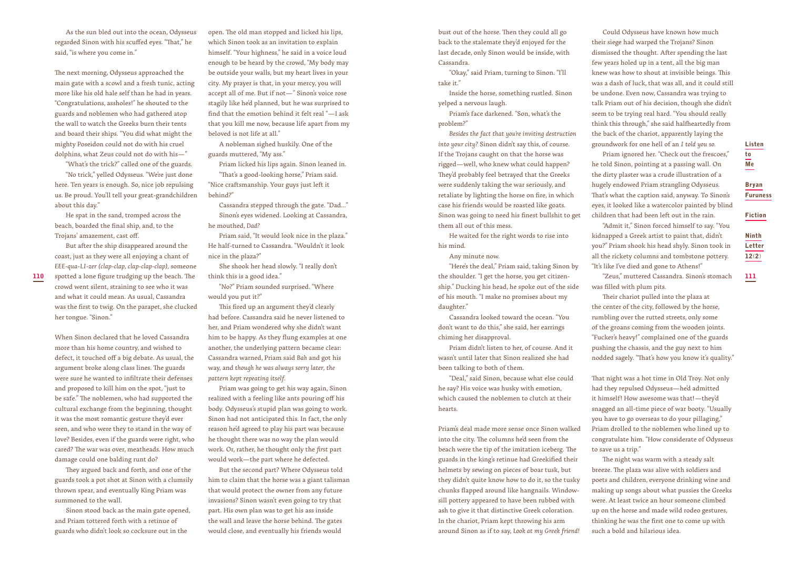As the sun bled out into the ocean, Odysseus regarded Sinon with his scuffed eyes. "That," he said, "is where you come in."

The next morning, Odysseus approached the main gate with a scowl and a fresh tunic, acting more like his old hale self than he had in years. "Congratulations, assholes!" he shouted to the guards and noblemen who had gathered atop the wall to watch the Greeks burn their tents and board their ships. "You did what might the mighty Poseidon could not do with his cruel dolphins, what Zeus could not do with his—"

"What's the trick?" called one of the guards. "No trick," yelled Odysseus. "We're just done here. Ten years is enough. So, nice job repulsing us. Be proud. You'll tell your great-grandchildren about this day."

He spat in the sand, tromped across the beach, boarded the final ship, and, to the Trojans' amazement, cast off.

But after the ship disappeared around the coast, just as they were all enjoying a chant of *EEE-qua-LI-zer (clap-clap, clap-clap-clap),* someone

crowd went silent, straining to see who it was and what it could mean. As usual, Cassandra was the first to twig. On the parapet, she clucked her tongue. "Sinon."

When Sinon declared that he loved Cassandra more than his home country, and wished to defect, it touched off a big debate. As usual, the argument broke along class lines. The guards were sure he wanted to infiltrate their defenses and proposed to kill him on the spot, "just to be safe." The noblemen, who had supported the cultural exchange from the beginning, thought it was the most romantic gesture they'd ever seen, and who were they to stand in the way of love? Besides, even if the guards were right, who cared? The war was over, meatheads. How much damage could one balding runt do?

They argued back and forth, and one of the guards took a pot shot at Sinon with a clumsily thrown spear, and eventually King Priam was summoned to the wall.

Sinon stood back as the main gate opened, and Priam tottered forth with a retinue of guards who didn't look so cocksure out in the

open. The old man stopped and licked his lips, which Sinon took as an invitation to explain himself. "Your highness," he said in a voice loud enough to be heard by the crowd, "My body may be outside your walls, but my heart lives in your city. My prayer is that, in your mercy, you will accept all of me. But if not—" Sinon's voice rose stagily like he'd planned, but he was surprised to find that the emotion behind it felt real "—I ask that you kill me now, because life apart from my beloved is not life at all."

A nobleman sighed huskily. One of the guards muttered, "My ass."

Priam licked his lips again. Sinon leaned in. "That's a good-looking horse," Priam said.

"Nice craftsmanship. Your guys just left it behind?"

Cassandra stepped through the gate. "Dad..." Sinon's eyes widened. Looking at Cassandra, he mouthed, *Dad?* 

Priam said, "It would look nice in the plaza." He half-turned to Cassandra. "Wouldn't it look nice in the plaza?"

She shook her head slowly. "I really don't think this is a good idea."

"No?" Priam sounded surprised. "Where would you put it?"

This fired up an argument they'd clearly had before. Cassandra said he never listened to her, and Priam wondered why she didn't want him to be happy. As they flung examples at one another, the underlying pattern became clear: Cassandra warned, Priam said *Bah* and got his way, and *though he was always sorry later, the pattern kept repeating itself.* 

Priam was going to get his way again, Sinon realized with a feeling like ants pouring off his body. Odysseus's stupid plan was going to work. Sinon had not anticipated this. In fact, the only reason he'd agreed to play his part was because he thought there was no way the plan would work. Or, rather, he thought only the *first* part would work—the part where he defected.

But the second part? Where Odysseus told him to claim that the horse was a giant talisman that would protect the owner from any future invasions? Sinon wasn't even going to try that part. His own plan was to get his ass inside the wall and leave the horse behind. The gates would close, and eventually his friends would

bust out of the horse. Then they could all go back to the stalemate they'd enjoyed for the last decade, only Sinon would be inside, with Cassandra.

"Okay," said Priam, turning to Sinon. "I'll take it."

Inside the horse, something rustled. Sinon yelped a nervous laugh.

Priam's face darkened. "Son, what's the problem?"

*Besides the fact that you're inviting destruction into your city?* Sinon didn't say this, of course. If the Trojans caught on that the horse was rigged—well, who knew what could happen? They'd probably feel betrayed that the Greeks were suddenly taking the war seriously, and retaliate by lighting the horse on fire, in which case his friends would be roasted like goats. Sinon was going to need his finest bullshit to get them all out of this mess.

He waited for the right words to rise into his mind.

Any minute now.

"Here's the deal," Priam said, taking Sinon by the shoulder. "I get the horse, you get citizenship." Ducking his head, he spoke out of the side of his mouth. "I make no promises about my daughter."

Cassandra looked toward the ocean. "You don't want to do this," she said, her earrings chiming her disapproval.

Priam didn't listen to her, of course. And it wasn't until later that Sinon realized she had been talking to both of them.

"Deal," said Sinon, because what else could he say? His voice was husky with emotion, which caused the noblemen to clutch at their hearts.

Priam's deal made more sense once Sinon walked into the city. The columns he'd seen from the beach were the tip of the imitation iceberg. The guards in the king's retinue had Greekified their helmets by sewing on pieces of boar tusk, but they didn't quite know how to do it, so the tusky chunks flapped around like hangnails. Windowsill pottery appeared to have been rubbed with ash to give it that distinctive Greek coloration. In the chariot, Priam kept throwing his arm around Sinon as if to say, *Look at my Greek friend!* 

Could Odysseus have known how much their siege had warped the Trojans? Sinon dismissed the thought. After spending the last few years holed up in a tent, all the big man knew was how to shout at invisible beings. This was a dash of luck, that was all, and it could still be undone. Even now, Cassandra was trying to talk Priam out of his decision, though she didn't seem to be trying real hard. "You should really think this through," she said halfheartedly from the back of the chariot, apparently laying the groundwork for one hell of an *I told you so.* 

Priam ignored her. "Check out the frescoes," he told Sinon, pointing at a passing wall. On the dirty plaster was a crude illustration of a hugely endowed Priam strangling Odysseus. That's what the caption said, anyway. To Sinon's eyes, it looked like a watercolor painted by blind children that had been left out in the rain.

"Admit it," Sinon forced himself to say. "You kidnapped a Greek artist to paint that, didn't you?" Priam shook his head shyly. Sinon took in all the rickety columns and tombstone pottery. "It's like I've died and gone to Athens!"

 $\bf{110}$  spotted a lone figure trudging up the beach. The think this is a good idea." https://www.fraget.org/www.fraget.org/www.fraget.com/www.fraget.com/www.fraget.com/www.fraget.com/www.fraget.com/www.fraget.com/www.fra "Zeus," muttered Cassandra. Sinon's stomach was filled with plum pits.

Ninth Letter 12(2)

Fiction

Listen to Me

Bryan Furuness

Their chariot pulled into the plaza at the center of the city, followed by the horse, rumbling over the rutted streets, only some of the groans coming from the wooden joints. "Fucker's heavy!" complained one of the guards pushing the chassis, and the guy next to him nodded sagely. "That's how you know it's quality."

That night was a hot time in Old Troy. Not only had they repulsed Odysseus—he'd admitted it himself! How awesome was that!—they'd snagged an all-time piece of war booty. "Usually you have to go overseas to do your pillaging," Priam drolled to the noblemen who lined up to congratulate him. "How considerate of Odysseus to save us a trip."

The night was warm with a steady salt breeze. The plaza was alive with soldiers and poets and children, everyone drinking wine and making up songs about what pussies the Greeks were. At least twice an hour someone climbed up on the horse and made wild rodeo gestures, thinking he was the first one to come up with such a bold and hilarious idea.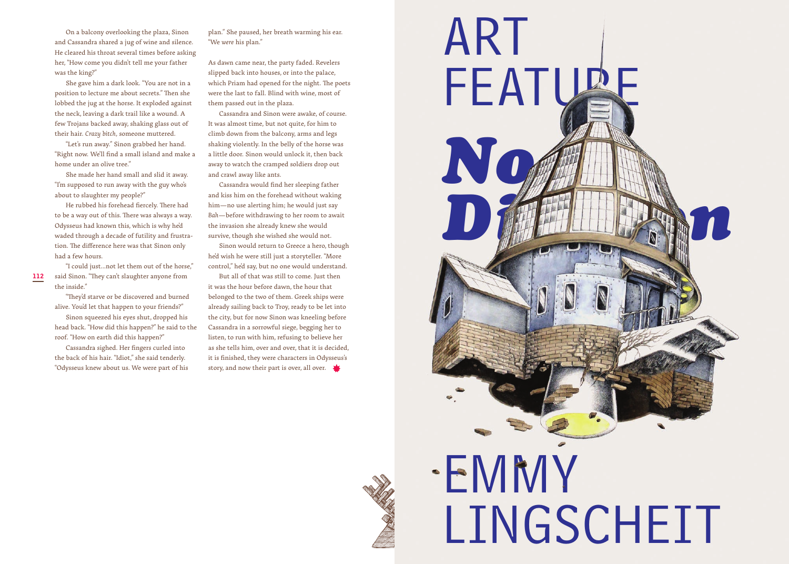On a balcony overlooking the plaza, Sinon and Cassandra shared a jug of wine and silence. He cleared his throat several times before asking her, "How come you didn't tell me your father was the king?"

She gave him a dark look. "You are not in a position to lecture me about secrets." Then she lobbed the jug at the horse. It exploded against the neck, leaving a dark trail like a wound. A few Trojans backed away, shaking glass out of their hair. *Crazy bitch,* someone muttered.

"Let's run away." Sinon grabbed her hand. "Right now. We'll find a small island and make a home under an olive tree."

She made her hand small and slid it away. "I'm supposed to run away with the guy who's about to slaughter my people?"

He rubbed his forehead fiercely. There had to be a way out of this. There was always a way. Odysseus had known this, which is why he'd waded through a decade of futility and frustration. The difference here was that Sinon only had a few hours.

said Sinon. "They can't slaughter anyone from the inside."

"I could just...not let them out of the horse,"

"They'd starve or be discovered and burned alive. You'd let that happen to your friends?"

Sinon squeezed his eyes shut, dropped his head back. "How did this happen?" he said to the roof. "How on earth did this happen?"

Cassandra sighed. Her fingers curled into the back of his hair. "Idiot," she said tenderly. "Odysseus knew about us. We were part of his plan." She paused, her breath warming his ear. "We *were* his plan."

As dawn came near, the party faded. Revelers slipped back into houses, or into the palace, which Priam had opened for the night. The poets were the last to fall. Blind with wine, most of them passed out in the plaza.

Cassandra and Sinon were awake, of course. It was almost time, but not quite, for him to climb down from the balcony, arms and legs shaking violently. In the belly of the horse was a little door. Sinon would unlock it, then back away to watch the cramped soldiers drop out and crawl away like ants.

Cassandra would find her sleeping father and kiss him on the forehead without waking him—no use alerting him; he would just say *Bah*—before withdrawing to her room to await the invasion she already knew she would survive, though she wished she would not.

Sinon would return to Greece a hero, though he'd wish he were still just a storyteller. "More control," he'd say, but no one would understand.

But all of that was still to come. Just then it was the hour before dawn, the hour that belonged to the two of them. Greek ships were already sailing back to Troy, ready to be let into the city, but for now Sinon was kneeling before Cassandra in a sorrowful siege, begging her to listen, to run with him, refusing to believe her as she tells him, over and over, that it is decided, it is finished, they were characters in Odysseus's story, and now their part is over, all over.

# FEATULE *No Division* EMMY LINGSCHEIT

ART